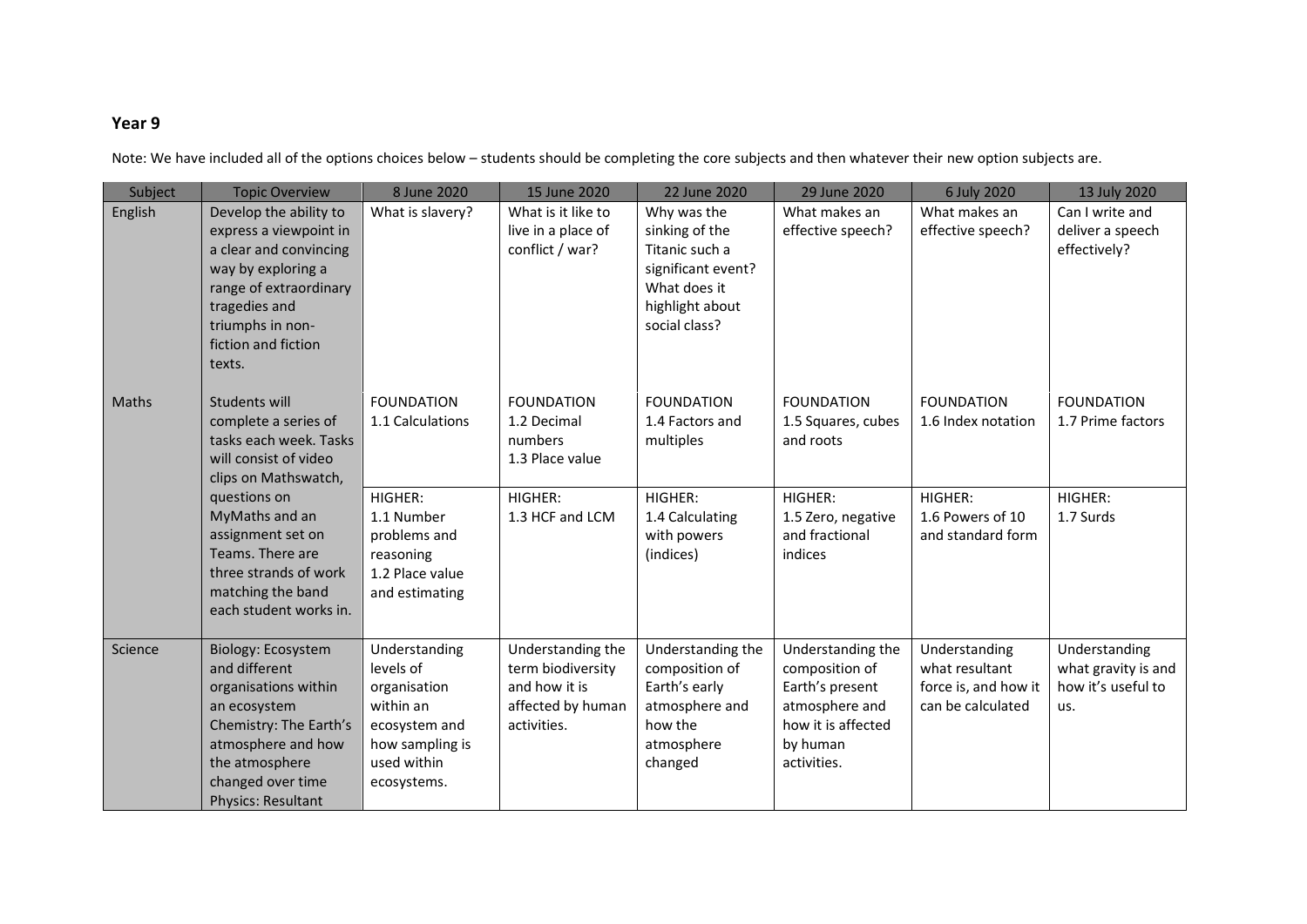## **Year 9**

Note: We have included all of the options choices below – students should be completing the core subjects and then whatever their new option subjects are.

| Subject      | <b>Topic Overview</b>                                                                                                                                                                                                                                               | 8 June 2020                                                                                                                      | 15 June 2020                                                                                 | 22 June 2020                                                                                                              | 29 June 2020                                                                                                              | 6 July 2020                                                                                 | 13 July 2020                                                      |
|--------------|---------------------------------------------------------------------------------------------------------------------------------------------------------------------------------------------------------------------------------------------------------------------|----------------------------------------------------------------------------------------------------------------------------------|----------------------------------------------------------------------------------------------|---------------------------------------------------------------------------------------------------------------------------|---------------------------------------------------------------------------------------------------------------------------|---------------------------------------------------------------------------------------------|-------------------------------------------------------------------|
| English      | Develop the ability to<br>express a viewpoint in<br>a clear and convincing<br>way by exploring a<br>range of extraordinary<br>tragedies and<br>triumphs in non-<br>fiction and fiction<br>texts.                                                                    | What is slavery?                                                                                                                 | What is it like to<br>live in a place of<br>conflict / war?                                  | Why was the<br>sinking of the<br>Titanic such a<br>significant event?<br>What does it<br>highlight about<br>social class? | What makes an<br>effective speech?                                                                                        | What makes an<br>effective speech?                                                          | Can I write and<br>deliver a speech<br>effectively?               |
| <b>Maths</b> | Students will<br>complete a series of<br>tasks each week. Tasks<br>will consist of video<br>clips on Mathswatch,<br>questions on<br>MyMaths and an<br>assignment set on<br>Teams. There are<br>three strands of work<br>matching the band<br>each student works in. | <b>FOUNDATION</b><br>1.1 Calculations<br>HIGHER:<br>1.1 Number<br>problems and<br>reasoning<br>1.2 Place value<br>and estimating | <b>FOUNDATION</b><br>1.2 Decimal<br>numbers<br>1.3 Place value<br>HIGHER:<br>1.3 HCF and LCM | <b>FOUNDATION</b><br>1.4 Factors and<br>multiples<br>HIGHER:<br>1.4 Calculating<br>with powers<br>(indices)               | <b>FOUNDATION</b><br>1.5 Squares, cubes<br>and roots<br>HIGHER:<br>1.5 Zero, negative<br>and fractional<br>indices        | <b>FOUNDATION</b><br>1.6 Index notation<br>HIGHER:<br>1.6 Powers of 10<br>and standard form | <b>FOUNDATION</b><br>1.7 Prime factors<br>HIGHER:<br>1.7 Surds    |
| Science      | Biology: Ecosystem<br>and different<br>organisations within<br>an ecosystem<br>Chemistry: The Earth's<br>atmosphere and how<br>the atmosphere<br>changed over time<br><b>Physics: Resultant</b>                                                                     | Understanding<br>levels of<br>organisation<br>within an<br>ecosystem and<br>how sampling is<br>used within<br>ecosystems.        | Understanding the<br>term biodiversity<br>and how it is<br>affected by human<br>activities.  | Understanding the<br>composition of<br>Earth's early<br>atmosphere and<br>how the<br>atmosphere<br>changed                | Understanding the<br>composition of<br>Earth's present<br>atmosphere and<br>how it is affected<br>by human<br>activities. | Understanding<br>what resultant<br>force is, and how it<br>can be calculated                | Understanding<br>what gravity is and<br>how it's useful to<br>us. |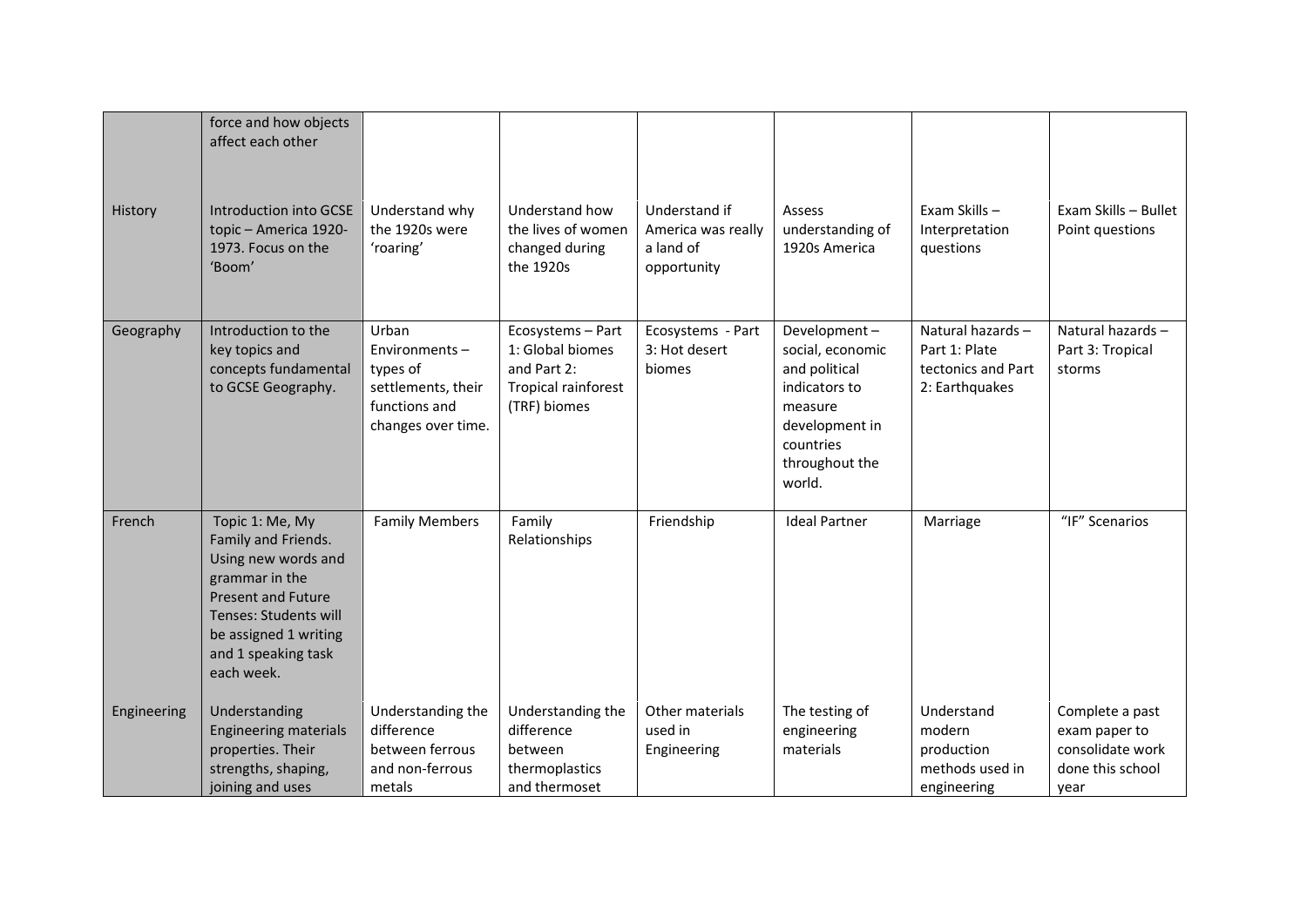|             | force and how objects<br>affect each other                                                                                                                                                          |                                                                                                 |                                                                                             |                                                                 |                                                                                                                                          |                                                                           |                                                                                  |
|-------------|-----------------------------------------------------------------------------------------------------------------------------------------------------------------------------------------------------|-------------------------------------------------------------------------------------------------|---------------------------------------------------------------------------------------------|-----------------------------------------------------------------|------------------------------------------------------------------------------------------------------------------------------------------|---------------------------------------------------------------------------|----------------------------------------------------------------------------------|
| History     | Introduction into GCSE<br>topic - America 1920-<br>1973. Focus on the<br>'Boom'                                                                                                                     | Understand why<br>the 1920s were<br>'roaring'                                                   | Understand how<br>the lives of women<br>changed during<br>the 1920s                         | Understand if<br>America was really<br>a land of<br>opportunity | Assess<br>understanding of<br>1920s America                                                                                              | Exam Skills-<br>Interpretation<br>questions                               | Exam Skills - Bullet<br>Point questions                                          |
| Geography   | Introduction to the<br>key topics and<br>concepts fundamental<br>to GCSE Geography.                                                                                                                 | Urban<br>Environments-<br>types of<br>settlements, their<br>functions and<br>changes over time. | Ecosystems - Part<br>1: Global biomes<br>and Part 2:<br>Tropical rainforest<br>(TRF) biomes | Ecosystems - Part<br>3: Hot desert<br>biomes                    | Development-<br>social, economic<br>and political<br>indicators to<br>measure<br>development in<br>countries<br>throughout the<br>world. | Natural hazards-<br>Part 1: Plate<br>tectonics and Part<br>2: Earthquakes | Natural hazards-<br>Part 3: Tropical<br>storms                                   |
| French      | Topic 1: Me, My<br>Family and Friends.<br>Using new words and<br>grammar in the<br><b>Present and Future</b><br>Tenses: Students will<br>be assigned 1 writing<br>and 1 speaking task<br>each week. | <b>Family Members</b>                                                                           | Family<br>Relationships                                                                     | Friendship                                                      | <b>Ideal Partner</b>                                                                                                                     | Marriage                                                                  | "IF" Scenarios                                                                   |
| Engineering | Understanding<br><b>Engineering materials</b><br>properties. Their<br>strengths, shaping,<br>joining and uses                                                                                       | Understanding the<br>difference<br>between ferrous<br>and non-ferrous<br>metals                 | Understanding the<br>difference<br>between<br>thermoplastics<br>and thermoset               | Other materials<br>used in<br>Engineering                       | The testing of<br>engineering<br>materials                                                                                               | Understand<br>modern<br>production<br>methods used in<br>engineering      | Complete a past<br>exam paper to<br>consolidate work<br>done this school<br>year |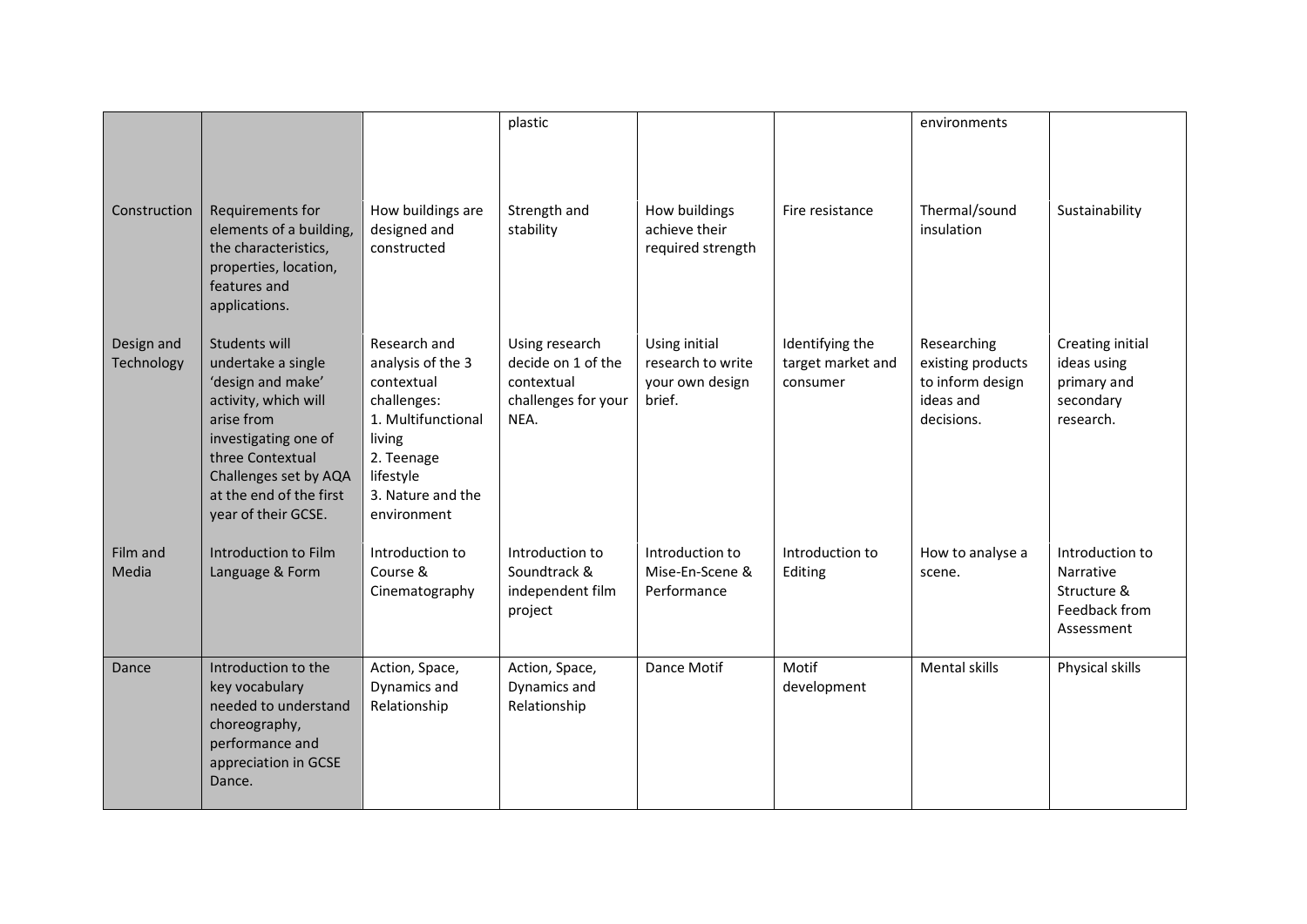|                          |                                                                                                                                                                                                                       |                                                                                                                                                               | plastic                                                                           |                                                                 |                                                  | environments                                                                    |                                                                                   |
|--------------------------|-----------------------------------------------------------------------------------------------------------------------------------------------------------------------------------------------------------------------|---------------------------------------------------------------------------------------------------------------------------------------------------------------|-----------------------------------------------------------------------------------|-----------------------------------------------------------------|--------------------------------------------------|---------------------------------------------------------------------------------|-----------------------------------------------------------------------------------|
| Construction             | Requirements for<br>elements of a building,<br>the characteristics,<br>properties, location,<br>features and<br>applications.                                                                                         | How buildings are<br>designed and<br>constructed                                                                                                              | Strength and<br>stability                                                         | How buildings<br>achieve their<br>required strength             | Fire resistance                                  | Thermal/sound<br>insulation                                                     | Sustainability                                                                    |
| Design and<br>Technology | Students will<br>undertake a single<br>'design and make'<br>activity, which will<br>arise from<br>investigating one of<br>three Contextual<br>Challenges set by AQA<br>at the end of the first<br>year of their GCSE. | Research and<br>analysis of the 3<br>contextual<br>challenges:<br>1. Multifunctional<br>living<br>2. Teenage<br>lifestyle<br>3. Nature and the<br>environment | Using research<br>decide on 1 of the<br>contextual<br>challenges for your<br>NEA. | Using initial<br>research to write<br>your own design<br>brief. | Identifying the<br>target market and<br>consumer | Researching<br>existing products<br>to inform design<br>ideas and<br>decisions. | Creating initial<br>ideas using<br>primary and<br>secondary<br>research.          |
| Film and<br>Media        | Introduction to Film<br>Language & Form                                                                                                                                                                               | Introduction to<br>Course &<br>Cinematography                                                                                                                 | Introduction to<br>Soundtrack &<br>independent film<br>project                    | Introduction to<br>Mise-En-Scene &<br>Performance               | Introduction to<br>Editing                       | How to analyse a<br>scene.                                                      | Introduction to<br><b>Narrative</b><br>Structure &<br>Feedback from<br>Assessment |
| Dance                    | Introduction to the<br>key vocabulary<br>needed to understand<br>choreography,<br>performance and<br>appreciation in GCSE<br>Dance.                                                                                   | Action, Space,<br>Dynamics and<br>Relationship                                                                                                                | Action, Space,<br>Dynamics and<br>Relationship                                    | <b>Dance Motif</b>                                              | Motif<br>development                             | <b>Mental skills</b>                                                            | Physical skills                                                                   |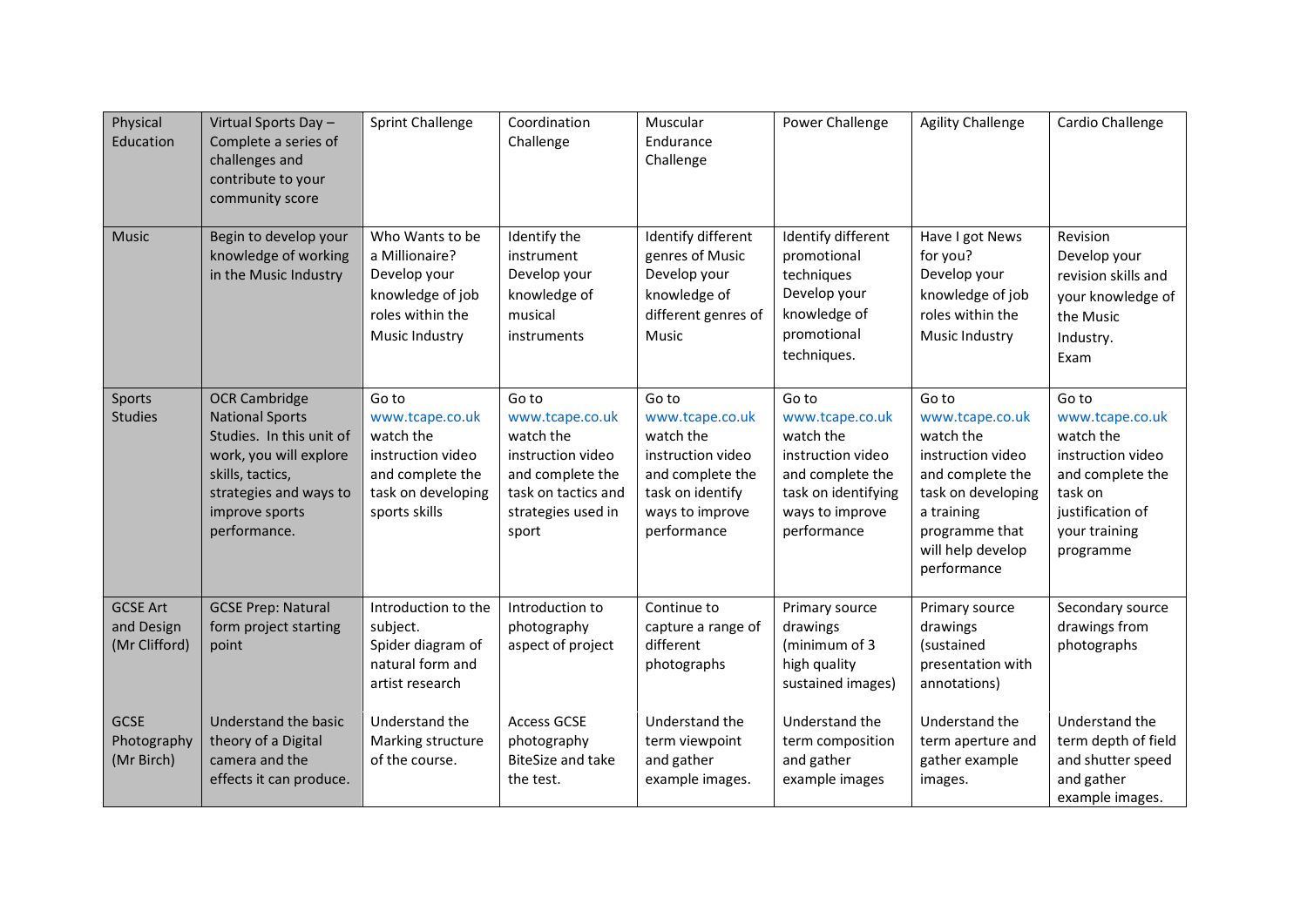| Physical<br>Education                          | Virtual Sports Day -<br>Complete a series of<br>challenges and<br>contribute to your<br>community score                                                                              | <b>Sprint Challenge</b>                                                                                               | Coordination<br>Challenge                                                                                                            | Muscular<br>Endurance<br>Challenge                                                                                                   | Power Challenge                                                                                                                         | <b>Agility Challenge</b>                                                                                                                                                 | Cardio Challenge                                                                                                                            |
|------------------------------------------------|--------------------------------------------------------------------------------------------------------------------------------------------------------------------------------------|-----------------------------------------------------------------------------------------------------------------------|--------------------------------------------------------------------------------------------------------------------------------------|--------------------------------------------------------------------------------------------------------------------------------------|-----------------------------------------------------------------------------------------------------------------------------------------|--------------------------------------------------------------------------------------------------------------------------------------------------------------------------|---------------------------------------------------------------------------------------------------------------------------------------------|
| <b>Music</b>                                   | Begin to develop your<br>knowledge of working<br>in the Music Industry                                                                                                               | Who Wants to be<br>a Millionaire?<br>Develop your<br>knowledge of job<br>roles within the<br>Music Industry           | Identify the<br>instrument<br>Develop your<br>knowledge of<br>musical<br>instruments                                                 | Identify different<br>genres of Music<br>Develop your<br>knowledge of<br>different genres of<br>Music                                | Identify different<br>promotional<br>techniques<br>Develop your<br>knowledge of<br>promotional<br>techniques.                           | Have I got News<br>for you?<br>Develop your<br>knowledge of job<br>roles within the<br>Music Industry                                                                    | Revision<br>Develop your<br>revision skills and<br>your knowledge of<br>the Music<br>Industry.<br>Exam                                      |
| Sports<br><b>Studies</b>                       | <b>OCR Cambridge</b><br><b>National Sports</b><br>Studies. In this unit of<br>work, you will explore<br>skills, tactics,<br>strategies and ways to<br>improve sports<br>performance. | Go to<br>www.tcape.co.uk<br>watch the<br>instruction video<br>and complete the<br>task on developing<br>sports skills | Go to<br>www.tcape.co.uk<br>watch the<br>instruction video<br>and complete the<br>task on tactics and<br>strategies used in<br>sport | Go to<br>www.tcape.co.uk<br>watch the<br>instruction video<br>and complete the<br>task on identify<br>ways to improve<br>performance | Go to<br>www.tcape.co.uk<br>watch the<br>instruction video<br>and complete the<br>task on identifying<br>ways to improve<br>performance | Go to<br>www.tcape.co.uk<br>watch the<br>instruction video<br>and complete the<br>task on developing<br>a training<br>programme that<br>will help develop<br>performance | Go to<br>www.tcape.co.uk<br>watch the<br>instruction video<br>and complete the<br>task on<br>justification of<br>your training<br>programme |
| <b>GCSE Art</b><br>and Design<br>(Mr Clifford) | <b>GCSE Prep: Natural</b><br>form project starting<br>point                                                                                                                          | Introduction to the<br>subject.<br>Spider diagram of<br>natural form and<br>artist research                           | Introduction to<br>photography<br>aspect of project                                                                                  | Continue to<br>capture a range of<br>different<br>photographs                                                                        | Primary source<br>drawings<br>(minimum of 3<br>high quality<br>sustained images)                                                        | Primary source<br>drawings<br>(sustained<br>presentation with<br>annotations)                                                                                            | Secondary source<br>drawings from<br>photographs                                                                                            |
| <b>GCSE</b><br>Photography<br>(Mr Birch)       | Understand the basic<br>theory of a Digital<br>camera and the<br>effects it can produce.                                                                                             | Understand the<br>Marking structure<br>of the course.                                                                 | <b>Access GCSE</b><br>photography<br><b>BiteSize and take</b><br>the test.                                                           | Understand the<br>term viewpoint<br>and gather<br>example images.                                                                    | Understand the<br>term composition<br>and gather<br>example images                                                                      | Understand the<br>term aperture and<br>gather example<br>images.                                                                                                         | Understand the<br>term depth of field<br>and shutter speed<br>and gather<br>example images.                                                 |